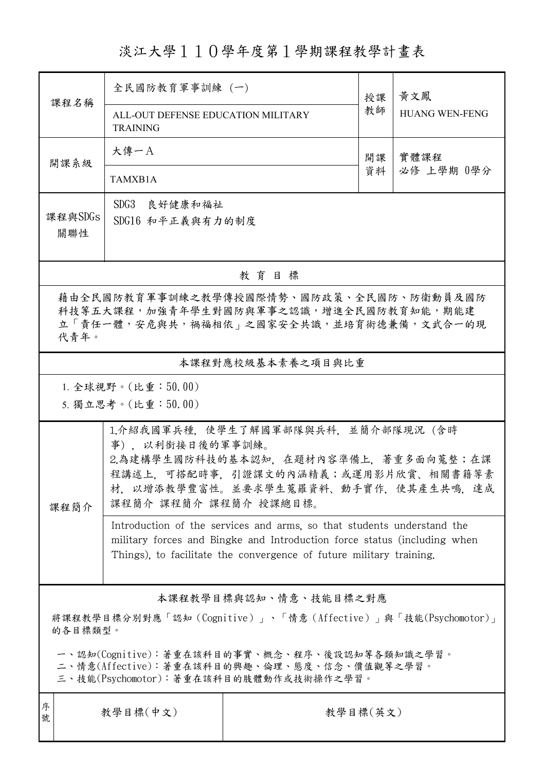淡江大學110學年度第1學期課程教學計畫表

| 課程名稱                                                                                                                                   | 全民國防教育軍事訓練 (一)                                                                                                                                                                                                            |          | 授課 | 黃文鳳<br><b>HUANG WEN-FENG</b> |  |  |  |
|----------------------------------------------------------------------------------------------------------------------------------------|---------------------------------------------------------------------------------------------------------------------------------------------------------------------------------------------------------------------------|----------|----|------------------------------|--|--|--|
|                                                                                                                                        | ALL-OUT DEFENSE EDUCATION MILITARY<br><b>TRAINING</b>                                                                                                                                                                     |          | 教師 |                              |  |  |  |
| 開課系級                                                                                                                                   | 大傳一A                                                                                                                                                                                                                      |          | 開課 | 實體課程<br>必修 上學期 0學分           |  |  |  |
|                                                                                                                                        | TAMXB1A                                                                                                                                                                                                                   |          | 資料 |                              |  |  |  |
| 課程與SDGs<br>關聯性                                                                                                                         | SDG3 良好健康和福祉<br>SDG16 和平正義與有力的制度                                                                                                                                                                                          |          |    |                              |  |  |  |
| 教育目標                                                                                                                                   |                                                                                                                                                                                                                           |          |    |                              |  |  |  |
| 藉由全民國防教育軍事訓練之教學傳授國際情勢、國防政策、全民國防、防衛動員及國防<br>科技等五大課程,加強青年學生對國防與軍事之認識,增進全民國防教育知能,期能建<br>立「責任一體,安危與共,禍福相依」之國家安全共識,並培育術德兼備,文武合一的現<br>代青年。   |                                                                                                                                                                                                                           |          |    |                              |  |  |  |
| 本課程對應校級基本素養之項目與比重                                                                                                                      |                                                                                                                                                                                                                           |          |    |                              |  |  |  |
|                                                                                                                                        | 1. 全球視野。(比重:50.00)                                                                                                                                                                                                        |          |    |                              |  |  |  |
|                                                                                                                                        | 5. 獨立思考。(比重:50.00)                                                                                                                                                                                                        |          |    |                              |  |  |  |
| 課程簡介                                                                                                                                   | 1.介紹我國軍兵種,使學生了解國軍部隊與兵科,並簡介部隊現況(含時<br>事), 以利銜接日後的軍事訓練。<br>2.為建構學生國防科技的基本認知,在題材內容準備上,著重多面向蒐整;在課<br>程講述上,可搭配時事,引證課文的內涵精義;或運用影片欣賞、相關書籍等素<br>材,以增添教學豐富性。並要求學生蒐羅資料、動手實作,使其產生共鳴,達成<br>課程簡介 課程簡介 課程簡介 授課總目標。                      |          |    |                              |  |  |  |
|                                                                                                                                        | Introduction of the services and arms, so that students understand the<br>military forces and Bingke and Introduction force status (including when<br>Things), to facilitate the convergence of future military training. |          |    |                              |  |  |  |
| 本課程教學目標與認知、情意、技能目標之對應                                                                                                                  |                                                                                                                                                                                                                           |          |    |                              |  |  |  |
| 將課程教學目標分別對應「認知(Cognitive)」、「情意(Affective)」與「技能(Psychomotor)」<br>的各目標類型。                                                                |                                                                                                                                                                                                                           |          |    |                              |  |  |  |
| 一、認知(Cognitive):著重在該科目的事實、概念、程序、後設認知等各類知識之學習。<br>二、情意(Affective):著重在該科目的興趣、倫理、態度、信念、價值觀等之學習。<br>三、技能(Psychomotor):著重在該科目的肢體動作或技術操作之學習。 |                                                                                                                                                                                                                           |          |    |                              |  |  |  |
| 序<br>號                                                                                                                                 | 教學目標(中文)                                                                                                                                                                                                                  | 教學目標(英文) |    |                              |  |  |  |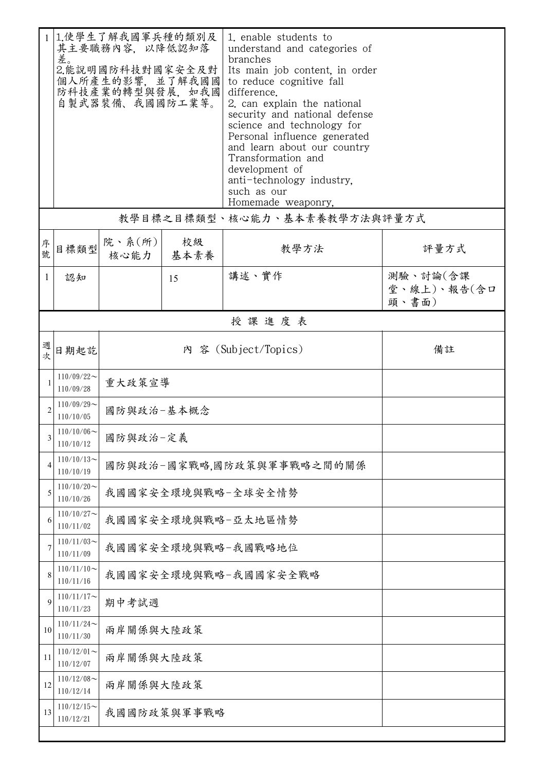|              | 差。                                                 | 1.使學生了解我國軍兵種的類別及<br>其主要職務內容,以降低認知落<br>2.能說明國防科技對國家安全及對<br>個人所產生的影響, 並了解我國國<br>防科技產業的轉型與發展, 如我國<br>自製武器裝備、我國國防工業等。 |    | 1. enable students to<br>understand and categories of<br>branches<br>Its main job content, in order<br>to reduce cognitive fall<br>difference.<br>2. can explain the national<br>security and national defense<br>science and technology for<br>Personal influence generated<br>and learn about our country<br>Transformation and<br>development of<br>anti-technology industry,<br>such as our |                                  |  |  |
|--------------|----------------------------------------------------|-------------------------------------------------------------------------------------------------------------------|----|-------------------------------------------------------------------------------------------------------------------------------------------------------------------------------------------------------------------------------------------------------------------------------------------------------------------------------------------------------------------------------------------------|----------------------------------|--|--|
|              |                                                    |                                                                                                                   |    | Homemade_weaponry,                                                                                                                                                                                                                                                                                                                                                                              |                                  |  |  |
|              |                                                    |                                                                                                                   |    | 教學目標之目標類型、核心能力、基本素養教學方法與評量方式                                                                                                                                                                                                                                                                                                                                                                    |                                  |  |  |
| 序號           | 目標類型                                               | 院、系(所) <br>核心能力   基本素養                                                                                            | 校級 | 教學方法                                                                                                                                                                                                                                                                                                                                                                                            | 評量方式                             |  |  |
| $\mathbf{1}$ | 認知                                                 |                                                                                                                   | 15 | 講述、實作                                                                                                                                                                                                                                                                                                                                                                                           | 測驗、討論(含課<br>堂、線上)、報告(含口<br>頭、書面) |  |  |
|              | 授課進度表                                              |                                                                                                                   |    |                                                                                                                                                                                                                                                                                                                                                                                                 |                                  |  |  |
| 週次           | 日期起訖                                               |                                                                                                                   | 備註 |                                                                                                                                                                                                                                                                                                                                                                                                 |                                  |  |  |
| 1            | $110/09/22$ ~<br>110/09/28                         | 重大政策宣導                                                                                                            |    |                                                                                                                                                                                                                                                                                                                                                                                                 |                                  |  |  |
|              | $110/09/29$ ~<br>110/10/05                         | 國防與政治-基本概念                                                                                                        |    |                                                                                                                                                                                                                                                                                                                                                                                                 |                                  |  |  |
| 3            | $110/10/06 \sim$<br>110/10/12                      | 國防與政治-定義                                                                                                          |    |                                                                                                                                                                                                                                                                                                                                                                                                 |                                  |  |  |
| 4            | $110/10/13$ ~<br>110/10/19                         | 國防與政治-國家戰略,國防政策與軍事戰略之間的關係                                                                                         |    |                                                                                                                                                                                                                                                                                                                                                                                                 |                                  |  |  |
| 5            | $110/10/20$ ~<br>110/10/26                         | 我國國家安全環境與戰略-全球安全情勢                                                                                                |    |                                                                                                                                                                                                                                                                                                                                                                                                 |                                  |  |  |
| 6            | $110/10/27$ ~<br>我國國家安全環境與戰略-亞太地區情勢<br>110/11/02   |                                                                                                                   |    |                                                                                                                                                                                                                                                                                                                                                                                                 |                                  |  |  |
|              | $110/11/03$ ~<br>110/11/09                         | 我國國家安全環境與戰略-我國戰略地位                                                                                                |    |                                                                                                                                                                                                                                                                                                                                                                                                 |                                  |  |  |
| 8            | $110/11/10$ ~<br>我國國家安全環境與戰略-我國國家安全戰略<br>110/11/16 |                                                                                                                   |    |                                                                                                                                                                                                                                                                                                                                                                                                 |                                  |  |  |
| 9            | $110/11/17$ ~<br>期中考試週<br>110/11/23                |                                                                                                                   |    |                                                                                                                                                                                                                                                                                                                                                                                                 |                                  |  |  |
| 10           | $110/11/24$ ~<br>110/11/30                         | 兩岸關係與大陸政策                                                                                                         |    |                                                                                                                                                                                                                                                                                                                                                                                                 |                                  |  |  |
| 11           | $110/12/01$ ~<br>110/12/07                         | 兩岸關係與大陸政策                                                                                                         |    |                                                                                                                                                                                                                                                                                                                                                                                                 |                                  |  |  |
| 12           | $110/12/08$ ~<br>110/12/14                         | 兩岸關係與大陸政策                                                                                                         |    |                                                                                                                                                                                                                                                                                                                                                                                                 |                                  |  |  |
| 13           | $110/12/15$ ~<br>我國國防政策與軍事戰略<br>110/12/21          |                                                                                                                   |    |                                                                                                                                                                                                                                                                                                                                                                                                 |                                  |  |  |